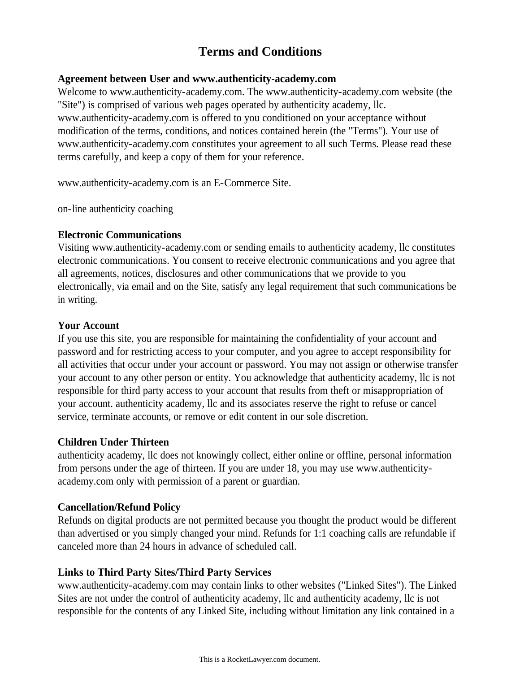# **Terms and Conditions**

## **Agreement between User and www.authenticity-academy.com**

Welcome to www.authenticity-academy.com. The www.authenticity-academy.com website (the "Site") is comprised of various web pages operated by authenticity academy, llc. www.authenticity-academy.com is offered to you conditioned on your acceptance without modification of the terms, conditions, and notices contained herein (the "Terms"). Your use of www.authenticity-academy.com constitutes your agreement to all such Terms. Please read these terms carefully, and keep a copy of them for your reference.

www.authenticity-academy.com is an E-Commerce Site.

on-line authenticity coaching

# **Electronic Communications**

Visiting www.authenticity-academy.com or sending emails to authenticity academy, llc constitutes electronic communications. You consent to receive electronic communications and you agree that all agreements, notices, disclosures and other communications that we provide to you electronically, via email and on the Site, satisfy any legal requirement that such communications be in writing.

## **Your Account**

If you use this site, you are responsible for maintaining the confidentiality of your account and password and for restricting access to your computer, and you agree to accept responsibility for all activities that occur under your account or password. You may not assign or otherwise transfer your account to any other person or entity. You acknowledge that authenticity academy, llc is not responsible for third party access to your account that results from theft or misappropriation of your account. authenticity academy, llc and its associates reserve the right to refuse or cancel service, terminate accounts, or remove or edit content in our sole discretion.

# **Children Under Thirteen**

authenticity academy, llc does not knowingly collect, either online or offline, personal information from persons under the age of thirteen. If you are under 18, you may use www.authenticityacademy.com only with permission of a parent or guardian.

# **Cancellation/Refund Policy**

Refunds on digital products are not permitted because you thought the product would be different than advertised or you simply changed your mind. Refunds for 1:1 coaching calls are refundable if canceled more than 24 hours in advance of scheduled call.

# **Links to Third Party Sites/Third Party Services**

www.authenticity-academy.com may contain links to other websites ("Linked Sites"). The Linked Sites are not under the control of authenticity academy, llc and authenticity academy, llc is not responsible for the contents of any Linked Site, including without limitation any link contained in a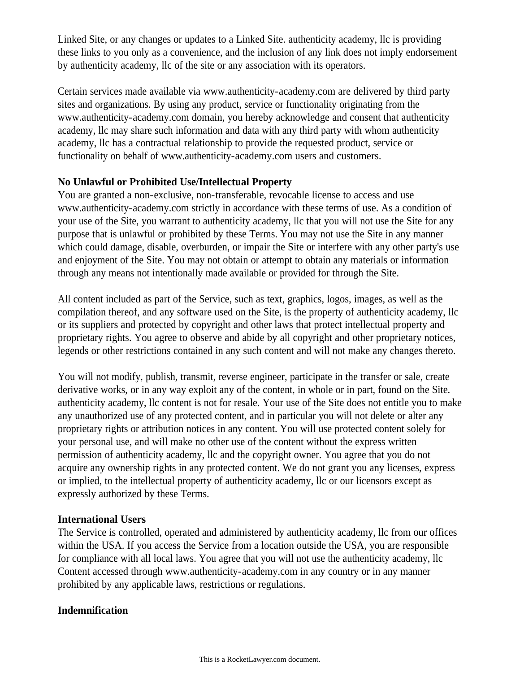Linked Site, or any changes or updates to a Linked Site. authenticity academy, llc is providing these links to you only as a convenience, and the inclusion of any link does not imply endorsement by authenticity academy, llc of the site or any association with its operators.

Certain services made available via www.authenticity-academy.com are delivered by third party sites and organizations. By using any product, service or functionality originating from the www.authenticity-academy.com domain, you hereby acknowledge and consent that authenticity academy, llc may share such information and data with any third party with whom authenticity academy, llc has a contractual relationship to provide the requested product, service or functionality on behalf of www.authenticity-academy.com users and customers.

## **No Unlawful or Prohibited Use/Intellectual Property**

You are granted a non-exclusive, non-transferable, revocable license to access and use www.authenticity-academy.com strictly in accordance with these terms of use. As a condition of your use of the Site, you warrant to authenticity academy, llc that you will not use the Site for any purpose that is unlawful or prohibited by these Terms. You may not use the Site in any manner which could damage, disable, overburden, or impair the Site or interfere with any other party's use and enjoyment of the Site. You may not obtain or attempt to obtain any materials or information through any means not intentionally made available or provided for through the Site.

All content included as part of the Service, such as text, graphics, logos, images, as well as the compilation thereof, and any software used on the Site, is the property of authenticity academy, llc or its suppliers and protected by copyright and other laws that protect intellectual property and proprietary rights. You agree to observe and abide by all copyright and other proprietary notices, legends or other restrictions contained in any such content and will not make any changes thereto.

You will not modify, publish, transmit, reverse engineer, participate in the transfer or sale, create derivative works, or in any way exploit any of the content, in whole or in part, found on the Site. authenticity academy, llc content is not for resale. Your use of the Site does not entitle you to make any unauthorized use of any protected content, and in particular you will not delete or alter any proprietary rights or attribution notices in any content. You will use protected content solely for your personal use, and will make no other use of the content without the express written permission of authenticity academy, llc and the copyright owner. You agree that you do not acquire any ownership rights in any protected content. We do not grant you any licenses, express or implied, to the intellectual property of authenticity academy, llc or our licensors except as expressly authorized by these Terms.

#### **International Users**

The Service is controlled, operated and administered by authenticity academy, llc from our offices within the USA. If you access the Service from a location outside the USA, you are responsible for compliance with all local laws. You agree that you will not use the authenticity academy, llc Content accessed through www.authenticity-academy.com in any country or in any manner prohibited by any applicable laws, restrictions or regulations.

# **Indemnification**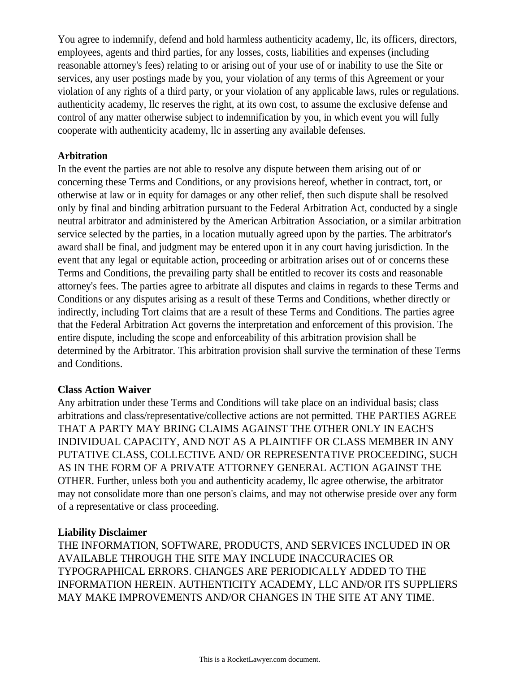You agree to indemnify, defend and hold harmless authenticity academy, llc, its officers, directors, employees, agents and third parties, for any losses, costs, liabilities and expenses (including reasonable attorney's fees) relating to or arising out of your use of or inability to use the Site or services, any user postings made by you, your violation of any terms of this Agreement or your violation of any rights of a third party, or your violation of any applicable laws, rules or regulations. authenticity academy, llc reserves the right, at its own cost, to assume the exclusive defense and control of any matter otherwise subject to indemnification by you, in which event you will fully cooperate with authenticity academy, llc in asserting any available defenses.

## **Arbitration**

In the event the parties are not able to resolve any dispute between them arising out of or concerning these Terms and Conditions, or any provisions hereof, whether in contract, tort, or otherwise at law or in equity for damages or any other relief, then such dispute shall be resolved only by final and binding arbitration pursuant to the Federal Arbitration Act, conducted by a single neutral arbitrator and administered by the American Arbitration Association, or a similar arbitration service selected by the parties, in a location mutually agreed upon by the parties. The arbitrator's award shall be final, and judgment may be entered upon it in any court having jurisdiction. In the event that any legal or equitable action, proceeding or arbitration arises out of or concerns these Terms and Conditions, the prevailing party shall be entitled to recover its costs and reasonable attorney's fees. The parties agree to arbitrate all disputes and claims in regards to these Terms and Conditions or any disputes arising as a result of these Terms and Conditions, whether directly or indirectly, including Tort claims that are a result of these Terms and Conditions. The parties agree that the Federal Arbitration Act governs the interpretation and enforcement of this provision. The entire dispute, including the scope and enforceability of this arbitration provision shall be determined by the Arbitrator. This arbitration provision shall survive the termination of these Terms and Conditions.

# **Class Action Waiver**

Any arbitration under these Terms and Conditions will take place on an individual basis; class arbitrations and class/representative/collective actions are not permitted. THE PARTIES AGREE THAT A PARTY MAY BRING CLAIMS AGAINST THE OTHER ONLY IN EACH'S INDIVIDUAL CAPACITY, AND NOT AS A PLAINTIFF OR CLASS MEMBER IN ANY PUTATIVE CLASS, COLLECTIVE AND/ OR REPRESENTATIVE PROCEEDING, SUCH AS IN THE FORM OF A PRIVATE ATTORNEY GENERAL ACTION AGAINST THE OTHER. Further, unless both you and authenticity academy, llc agree otherwise, the arbitrator may not consolidate more than one person's claims, and may not otherwise preside over any form of a representative or class proceeding.

# **Liability Disclaimer**

THE INFORMATION, SOFTWARE, PRODUCTS, AND SERVICES INCLUDED IN OR AVAILABLE THROUGH THE SITE MAY INCLUDE INACCURACIES OR TYPOGRAPHICAL ERRORS. CHANGES ARE PERIODICALLY ADDED TO THE INFORMATION HEREIN. AUTHENTICITY ACADEMY, LLC AND/OR ITS SUPPLIERS MAY MAKE IMPROVEMENTS AND/OR CHANGES IN THE SITE AT ANY TIME.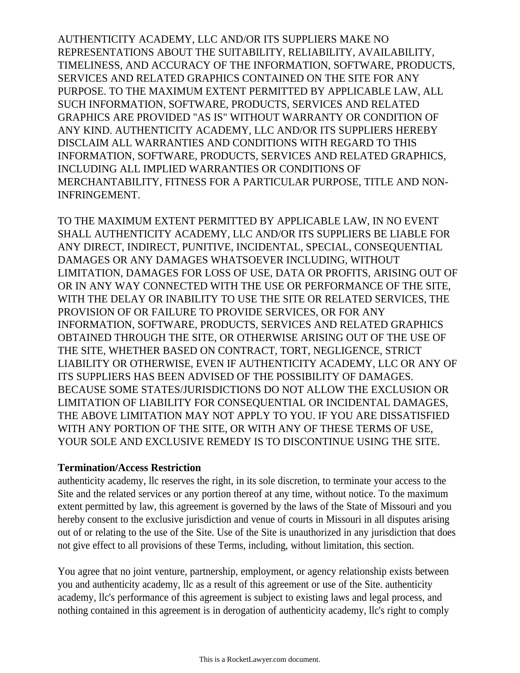AUTHENTICITY ACADEMY, LLC AND/OR ITS SUPPLIERS MAKE NO REPRESENTATIONS ABOUT THE SUITABILITY, RELIABILITY, AVAILABILITY, TIMELINESS, AND ACCURACY OF THE INFORMATION, SOFTWARE, PRODUCTS, SERVICES AND RELATED GRAPHICS CONTAINED ON THE SITE FOR ANY PURPOSE. TO THE MAXIMUM EXTENT PERMITTED BY APPLICABLE LAW, ALL SUCH INFORMATION, SOFTWARE, PRODUCTS, SERVICES AND RELATED GRAPHICS ARE PROVIDED "AS IS" WITHOUT WARRANTY OR CONDITION OF ANY KIND. AUTHENTICITY ACADEMY, LLC AND/OR ITS SUPPLIERS HEREBY DISCLAIM ALL WARRANTIES AND CONDITIONS WITH REGARD TO THIS INFORMATION, SOFTWARE, PRODUCTS, SERVICES AND RELATED GRAPHICS, INCLUDING ALL IMPLIED WARRANTIES OR CONDITIONS OF MERCHANTABILITY, FITNESS FOR A PARTICULAR PURPOSE, TITLE AND NON-INFRINGEMENT.

TO THE MAXIMUM EXTENT PERMITTED BY APPLICABLE LAW, IN NO EVENT SHALL AUTHENTICITY ACADEMY, LLC AND/OR ITS SUPPLIERS BE LIABLE FOR ANY DIRECT, INDIRECT, PUNITIVE, INCIDENTAL, SPECIAL, CONSEQUENTIAL DAMAGES OR ANY DAMAGES WHATSOEVER INCLUDING, WITHOUT LIMITATION, DAMAGES FOR LOSS OF USE, DATA OR PROFITS, ARISING OUT OF OR IN ANY WAY CONNECTED WITH THE USE OR PERFORMANCE OF THE SITE, WITH THE DELAY OR INABILITY TO USE THE SITE OR RELATED SERVICES, THE PROVISION OF OR FAILURE TO PROVIDE SERVICES, OR FOR ANY INFORMATION, SOFTWARE, PRODUCTS, SERVICES AND RELATED GRAPHICS OBTAINED THROUGH THE SITE, OR OTHERWISE ARISING OUT OF THE USE OF THE SITE, WHETHER BASED ON CONTRACT, TORT, NEGLIGENCE, STRICT LIABILITY OR OTHERWISE, EVEN IF AUTHENTICITY ACADEMY, LLC OR ANY OF ITS SUPPLIERS HAS BEEN ADVISED OF THE POSSIBILITY OF DAMAGES. BECAUSE SOME STATES/JURISDICTIONS DO NOT ALLOW THE EXCLUSION OR LIMITATION OF LIABILITY FOR CONSEQUENTIAL OR INCIDENTAL DAMAGES, THE ABOVE LIMITATION MAY NOT APPLY TO YOU. IF YOU ARE DISSATISFIED WITH ANY PORTION OF THE SITE, OR WITH ANY OF THESE TERMS OF USE, YOUR SOLE AND EXCLUSIVE REMEDY IS TO DISCONTINUE USING THE SITE.

#### **Termination/Access Restriction**

authenticity academy, llc reserves the right, in its sole discretion, to terminate your access to the Site and the related services or any portion thereof at any time, without notice. To the maximum extent permitted by law, this agreement is governed by the laws of the State of Missouri and you hereby consent to the exclusive jurisdiction and venue of courts in Missouri in all disputes arising out of or relating to the use of the Site. Use of the Site is unauthorized in any jurisdiction that does not give effect to all provisions of these Terms, including, without limitation, this section.

You agree that no joint venture, partnership, employment, or agency relationship exists between you and authenticity academy, llc as a result of this agreement or use of the Site. authenticity academy, llc's performance of this agreement is subject to existing laws and legal process, and nothing contained in this agreement is in derogation of authenticity academy, llc's right to comply